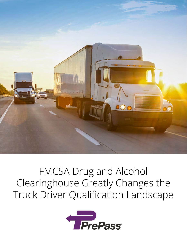

# FMCSA Drug and Alcohol Clearinghouse Greatly Changes the Truck Driver Qualification Landscape

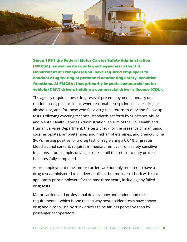

Since 1991 the Federal Motor Carrier Safety Administration (FMCSA), as well as its counterpart agencies in the U.S. Department of Transportation, have required employers to conduct drug testing of personnel conducting safety-sensitive functions. At FMCSA, that primarily impacts commercial motor vehicle (CMV) drivers holding a commercial driver's license (CDL).

The agency requires these drug tests at pre-employment, annually on a random basis, post-accident, when reasonable suspicion indicates drug or alcohol use, and, for those who fail a drug test, return-to-duty and follow-up tests. Following exacting technical standards set forth by Substance Abuse and Mental Health Services Administration, an arm of the U.S. Health and Human Services Department, the tests check for the presence of marijuana, cocaine, opiates, amphetamines and methamphetamines, and phencyclidine (PCP). Testing positive for a drug test, or registering a 0.04% or greater blood alcohol content, requires immediate removal from safety-sensitive functions – for example, driving a truck - until the return-to-duty process is successfully completed.

At pre-employment time, motor carriers are not only required to have a drug test administered to a driver applicant but must also check with that applicant's prior employers for the past three years, including any failed drug tests.

Motor carriers and professional drivers know and understand these requirements – which is one reason why post-accident tests have shown drug and alcohol use by truck drivers to be far less pervasive than by passenger car operators.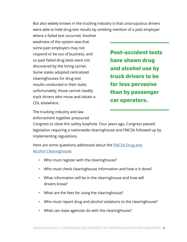But also widely known in the trucking industry is that unscrupulous drivers were able to hide drug test results by omitting mention of a past employer

where a failed test occurred. Another weakness of the system was that some past employers may not respond or be out of business, and so past failed drug tests were not discovered by the hiring carrier. Some states adopted centralized clearinghouses for drug test results conducted in their state; unfortunately, those cannot readily track drivers who move and obtain a CDL elsewhere.

Post-accident tests have shown drug and alcohol use by truck drivers to be far less pervasive than by passenger car operators.

The trucking industry and law enforcement together pressured

Congress to close this safety loophole. Four years ago, Congress passed legislation requiring a nationwide clearinghouse and FMCSA followed up by implementing regulations.

Here are some questions addressed about the **FMCSA Drug and** [Alcohol Clearinghouse:](https://www.fmcsa.dot.gov/regulations/commercial-drivers-license-drug-and-alcohol-clearinghouse)

- Who must register with the clearinghouse?
- Who must check clearinghouse information and how is it done?
- What information will be in the clearinghouse and how will drivers know?
- What are the fees for using the clearinghouse?
- Who must report drug and alcohol violations to the clearinghouse?
- What can state agencies do with the clearinghouse?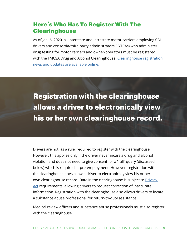# Here's Who Has To Register With The **Clearinghouse**

As of Jan. 6, 2020, all interstate and intrastate motor carriers employing CDL drivers and consortia/third party administrators (C/TPAs) who administer drug testing for motor carriers and owner-operators must be registered with the FMCSA Drug and Alcohol Clearinghouse. Clearinghouse registration, [news and updates are available online.](https://clearinghouse.fmcsa.dot.gov/)

Registration with the clearinghouse allows a driver to electronically view his or her own clearinghouse record.

Drivers are not, as a rule, required to register with the clearinghouse. However, this applies only if the driver never incurs a drug and alcohol violation and does not need to give consent for a "full" query (discussed below) which is required at pre-employment. However, registration with the clearinghouse does allow a driver to electronically view his or her own clearinghouse record. Data in the clearinghouse is subject to **Privacy** [Act](https://www.justice.gov/opcl/privacy-act-1974) requirements, allowing drivers to request correction of inaccurate information. Registration with the clearinghouse also allows drivers to locate a substance abuse professional for return-to-duty assistance.

Medical review officers and substance abuse professionals must also register with the clearinghouse.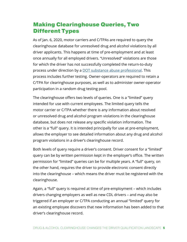# Making Clearinghouse Queries, Two Different Types

As of Jan. 6, 2020, motor carriers and C/TPAs are required to query the clearinghouse database for unresolved drug and alcohol violations by all driver applicants. This happens at time of pre-employment and at least once annually for all employed drivers. "Unresolved" violations are those for which the driver has not successfully completed the return-to-duty process under direction by a [DOT substance abuse professional](https://www.transportation.gov/odapc/sap). This process includes further testing. Owner-operators are required to retain a C/TPA for clearinghouse purposes, as well as to administer owner-operator participation in a random drug testing pool.

The clearinghouse offers two levels of queries. One is a "limited" query intended for use with current employees. The limited query tells the motor carrier or C/TPA whether there is any information about resolved or unresolved drug and alcohol program violations in the clearinghouse database, but does not release any specific violation information. The other is a "full" query. It is intended principally for use at pre-employment, allows the employer to see detailed information about any drug and alcohol program violations in a driver's clearinghouse record.

Both levels of query require a driver's consent. Driver consent for a "limited" query can be by written permission kept in the employer's office. The written permission for "limited" queries can be for multiple years. A "full" query, on the other hand, requires the driver to provide electronic consent directly into the clearinghouse – which means the driver must be registered with the clearinghouse.

Again, a "full" query is required at time of pre-employment – which includes drivers changing employers as well as new CDL drivers – and may also be triggered if an employer or C/TPA conducting an annual "limited" query for an existing employee discovers that new information has been added to that driver's clearinghouse record.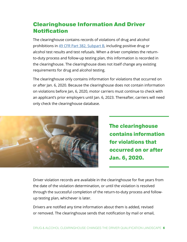# Clearinghouse Information And Driver **Notification**

The clearinghouse contains records of violations of drug and alcohol prohibitions in [49 CFR Part 382, Subpart B,](https://www.ecfr.gov/cgi-bin/retrieveECFR?gp=1&ty=HTML&h=L&mc=true&=PART&n=pt49.5.382#sp49.5.382.b\) including positive drug or alcohol test results and test refusals. When a driver completes the returnto-duty process and follow-up testing plan, this information is recorded in the clearinghouse. The clearinghouse does not itself change any existing requirements for drug and alcohol testing.

The clearinghouse only contains information for violations that occurred on or after Jan. 6, 2020. Because the clearinghouse does not contain information on violations before Jan, 6, 2020, motor carriers must continue to check with an applicant's prior employers until Jan. 6, 2023. Thereafter, carriers will need only check the clearinghouse database.



The clearinghouse contains information for violations that occurred on or after Jan. 6, 2020.

Driver violation records are available in the clearinghouse for five years from the date of the violation determination, or until the violation is resolved through the successful completion of the return-to-duty process and followup testing plan, whichever is later.

Drivers are notified any time information about them is added, revised or removed. The clearinghouse sends that notification by mail or email,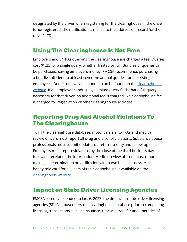designated by the driver when registering for the clearinghouse. If the driver is not registered, the notification is mailed to the address on record for the driver's CDL.

#### Using The Clearinghouse Is Not Free

Employers and C/TPAs querying the clearinghouse are charged a fee. Queries cost \$1.25 for a single query, whether limited or full. Bundles of queries can be purchased, saving employers money. FMCSA recommends purchasing a bundle sufficient to at least cover the annual queries for all existing employees. Details on available bundles can be found on the clearinghouse [website](https://clearinghouse.fmcsa.dot.gov/). If an employer conducting a limited query finds that a full query is necessary for that driver, no additional fee is charged. No clearinghouse fee is charged for registration or other clearinghouse activities.

### Reporting Drug And Alcohol Violations To The Clearinghouse

To fill the clearinghouse database, motor carriers, C/TPAs and medical review officers must report all drug and alcohol violations. Substance abuse professionals must submit updates on return-to-duty and follow-up tests. Employers must report violations by the close of the third business day following receipt of the information. Medical review officers must report making a determination or verification within two business days. A handy role card for all users of the clearinghouse is available on the [clearinghouse website.](https://clearinghouse.fmcsa.dot.gov/)

# Impact on State Driver Licensing Agencies

FMCSA recently extended to Jan. 6, 2023, the time when state driver licensing agencies (SDLAs) must query the clearinghouse database prior to completing licensing transactions, such as issuance, renewal, transfer and upgrades of